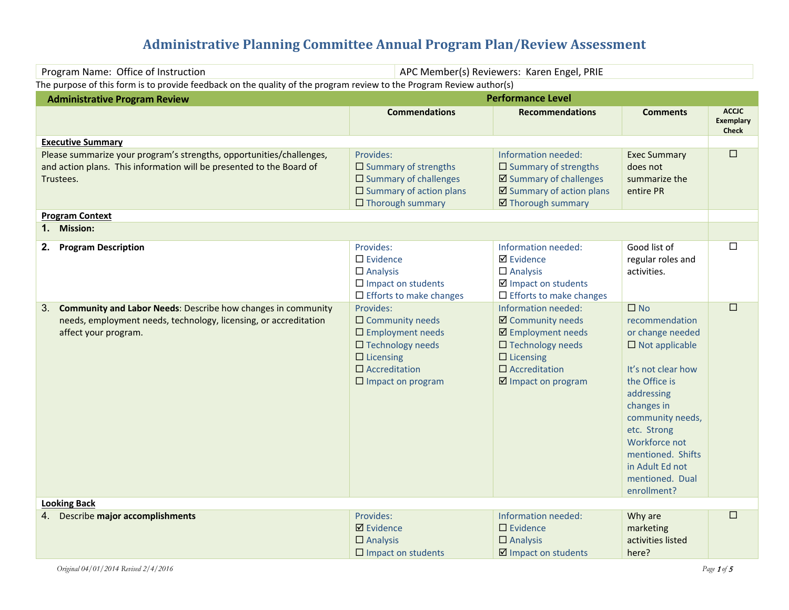# **Administrative Planning Committee Annual Program Plan/Review Assessment**

| Program Name: Office of Instruction                                                                                                                                                 |                                                                                                                                                                                  | APC Member(s) Reviewers: Karen Engel, PRIE                                                                                                                         |                                                                                                                                                                                                                                                                                 |                                                  |
|-------------------------------------------------------------------------------------------------------------------------------------------------------------------------------------|----------------------------------------------------------------------------------------------------------------------------------------------------------------------------------|--------------------------------------------------------------------------------------------------------------------------------------------------------------------|---------------------------------------------------------------------------------------------------------------------------------------------------------------------------------------------------------------------------------------------------------------------------------|--------------------------------------------------|
| The purpose of this form is to provide feedback on the quality of the program review to the Program Review author(s)                                                                |                                                                                                                                                                                  |                                                                                                                                                                    |                                                                                                                                                                                                                                                                                 |                                                  |
| <b>Administrative Program Review</b>                                                                                                                                                |                                                                                                                                                                                  | <b>Performance Level</b>                                                                                                                                           |                                                                                                                                                                                                                                                                                 |                                                  |
|                                                                                                                                                                                     | <b>Commendations</b>                                                                                                                                                             | <b>Recommendations</b>                                                                                                                                             | <b>Comments</b>                                                                                                                                                                                                                                                                 | <b>ACCJC</b><br><b>Exemplary</b><br><b>Check</b> |
| <b>Executive Summary</b>                                                                                                                                                            |                                                                                                                                                                                  |                                                                                                                                                                    |                                                                                                                                                                                                                                                                                 |                                                  |
| Please summarize your program's strengths, opportunities/challenges,<br>and action plans. This information will be presented to the Board of<br>Trustees.<br><b>Program Context</b> | Provides:<br>$\square$ Summary of strengths<br>$\square$ Summary of challenges<br>$\square$ Summary of action plans<br>$\Box$ Thorough summary                                   | Information needed:<br>$\square$ Summary of strengths<br>☑ Summary of challenges<br>☑ Summary of action plans<br>☑ Thorough summary                                | <b>Exec Summary</b><br>does not<br>summarize the<br>entire PR                                                                                                                                                                                                                   | $\Box$                                           |
| 1. Mission:                                                                                                                                                                         |                                                                                                                                                                                  |                                                                                                                                                                    |                                                                                                                                                                                                                                                                                 |                                                  |
| 2.<br><b>Program Description</b>                                                                                                                                                    | Provides:<br>$\square$ Evidence<br>$\Box$ Analysis<br>$\square$ Impact on students<br>$\Box$ Efforts to make changes                                                             | Information needed:<br><b>Ø</b> Evidence<br>$\Box$ Analysis<br>$\boxtimes$ Impact on students<br>$\Box$ Efforts to make changes                                    | Good list of<br>regular roles and<br>activities.                                                                                                                                                                                                                                | $\Box$                                           |
| <b>Community and Labor Needs: Describe how changes in community</b><br>3.<br>needs, employment needs, technology, licensing, or accreditation<br>affect your program.               | Provides:<br>$\square$ Community needs<br>$\square$ Employment needs<br>$\square$ Technology needs<br>$\Box$ Licensing<br>$\square$ Accreditation<br>$\square$ Impact on program | Information needed:<br>☑ Community needs<br>☑ Employment needs<br>$\square$ Technology needs<br>$\Box$ Licensing<br>$\square$ Accreditation<br>☑ Impact on program | $\square$ No<br>recommendation<br>or change needed<br>$\square$ Not applicable<br>It's not clear how<br>the Office is<br>addressing<br>changes in<br>community needs,<br>etc. Strong<br>Workforce not<br>mentioned. Shifts<br>in Adult Ed not<br>mentioned. Dual<br>enrollment? | $\Box$                                           |
| <b>Looking Back</b>                                                                                                                                                                 |                                                                                                                                                                                  |                                                                                                                                                                    |                                                                                                                                                                                                                                                                                 |                                                  |
| Describe major accomplishments<br>4.                                                                                                                                                | Provides:<br><b>Ø</b> Evidence<br>$\Box$ Analysis<br>$\square$ Impact on students                                                                                                | Information needed:<br>$\square$ Evidence<br>$\Box$ Analysis<br>$\boxtimes$ Impact on students                                                                     | Why are<br>marketing<br>activities listed<br>here?                                                                                                                                                                                                                              | $\Box$                                           |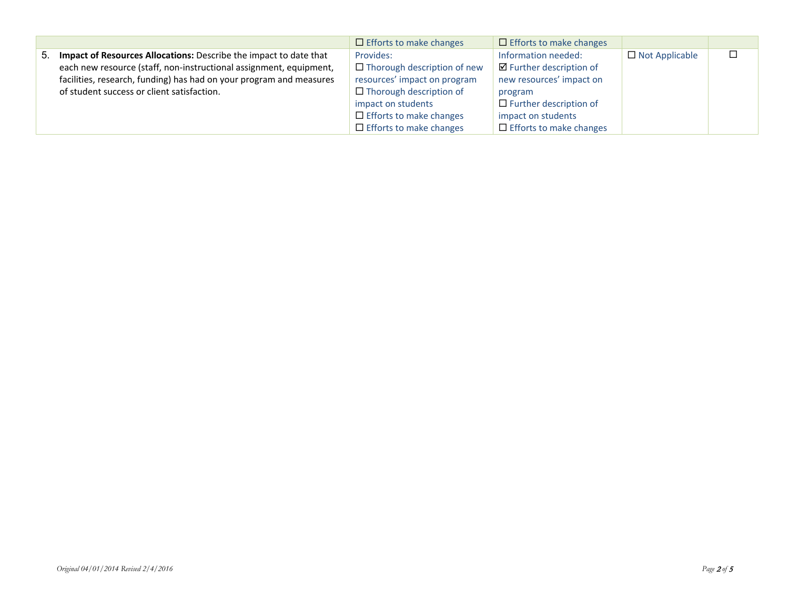|                                                                      | $\Box$ Efforts to make changes     | $\Box$ Efforts to make changes     |                       |  |
|----------------------------------------------------------------------|------------------------------------|------------------------------------|-----------------------|--|
| 5. Impact of Resources Allocations: Describe the impact to date that | Provides:                          | Information needed:                | $\Box$ Not Applicable |  |
| each new resource (staff, non-instructional assignment, equipment,   | $\Box$ Thorough description of new | $\boxtimes$ Further description of |                       |  |
| facilities, research, funding) has had on your program and measures  | resources' impact on program       | new resources' impact on           |                       |  |
| of student success or client satisfaction.                           | $\Box$ Thorough description of     | program                            |                       |  |
|                                                                      | impact on students                 | $\Box$ Further description of      |                       |  |
|                                                                      | $\Box$ Efforts to make changes     | impact on students                 |                       |  |
|                                                                      | $\Box$ Efforts to make changes     | $\Box$ Efforts to make changes     |                       |  |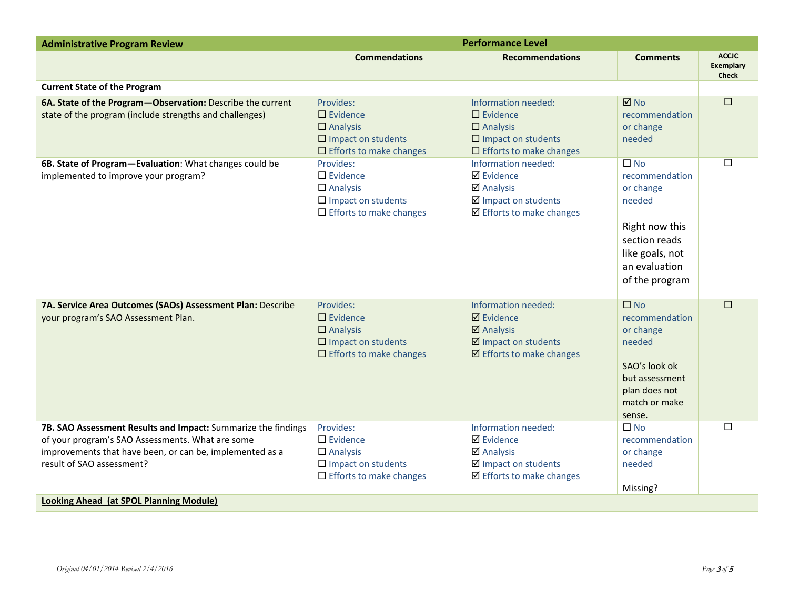| <b>Administrative Program Review</b>                                                                                                                                                                                                                         | <b>Performance Level</b>                                                                                             |                                                                                                                                       |                                                                                                                                             |                                                  |
|--------------------------------------------------------------------------------------------------------------------------------------------------------------------------------------------------------------------------------------------------------------|----------------------------------------------------------------------------------------------------------------------|---------------------------------------------------------------------------------------------------------------------------------------|---------------------------------------------------------------------------------------------------------------------------------------------|--------------------------------------------------|
|                                                                                                                                                                                                                                                              | <b>Commendations</b>                                                                                                 | <b>Recommendations</b>                                                                                                                | <b>Comments</b>                                                                                                                             | <b>ACCJC</b><br><b>Exemplary</b><br><b>Check</b> |
| <b>Current State of the Program</b>                                                                                                                                                                                                                          |                                                                                                                      |                                                                                                                                       |                                                                                                                                             |                                                  |
| 6A. State of the Program-Observation: Describe the current<br>state of the program (include strengths and challenges)                                                                                                                                        | Provides:<br>$\square$ Evidence<br>$\Box$ Analysis<br>$\square$ Impact on students<br>$\Box$ Efforts to make changes | Information needed:<br>$\Box$ Evidence<br>$\Box$ Analysis<br>$\square$ Impact on students<br>$\Box$ Efforts to make changes           | $\boxtimes$ No<br>recommendation<br>or change<br>needed                                                                                     | $\Box$                                           |
| 6B. State of Program-Evaluation: What changes could be<br>implemented to improve your program?                                                                                                                                                               | Provides:<br>$\square$ Evidence<br>$\Box$ Analysis<br>$\square$ Impact on students<br>$\Box$ Efforts to make changes | Information needed:<br><b>Ø</b> Evidence<br><b>Ø</b> Analysis<br>☑ Impact on students<br>☑ Efforts to make changes                    | $\Box$ No<br>recommendation<br>or change<br>needed<br>Right now this<br>section reads<br>like goals, not<br>an evaluation<br>of the program | □                                                |
| 7A. Service Area Outcomes (SAOs) Assessment Plan: Describe<br>your program's SAO Assessment Plan.                                                                                                                                                            | Provides:<br>$\Box$ Evidence<br>$\Box$ Analysis<br>$\square$ Impact on students<br>$\Box$ Efforts to make changes    | Information needed:<br>$\boxtimes$ Evidence<br>$\boxtimes$ Analysis<br>☑ Impact on students<br>$\blacksquare$ Efforts to make changes | $\square$ No<br>recommendation<br>or change<br>needed<br>SAO's look ok<br>but assessment<br>plan does not<br>match or make<br>sense.        | $\Box$                                           |
| 7B. SAO Assessment Results and Impact: Summarize the findings<br>of your program's SAO Assessments. What are some<br>improvements that have been, or can be, implemented as a<br>result of SAO assessment?<br><b>Looking Ahead (at SPOL Planning Module)</b> | Provides:<br>$\square$ Evidence<br>$\Box$ Analysis<br>$\square$ Impact on students<br>$\Box$ Efforts to make changes | Information needed:<br><b>Ø</b> Evidence<br><b>Ø</b> Analysis<br>☑ Impact on students<br>$\boxtimes$ Efforts to make changes          | $\square$ No<br>recommendation<br>or change<br>needed<br>Missing?                                                                           | $\Box$                                           |
|                                                                                                                                                                                                                                                              |                                                                                                                      |                                                                                                                                       |                                                                                                                                             |                                                  |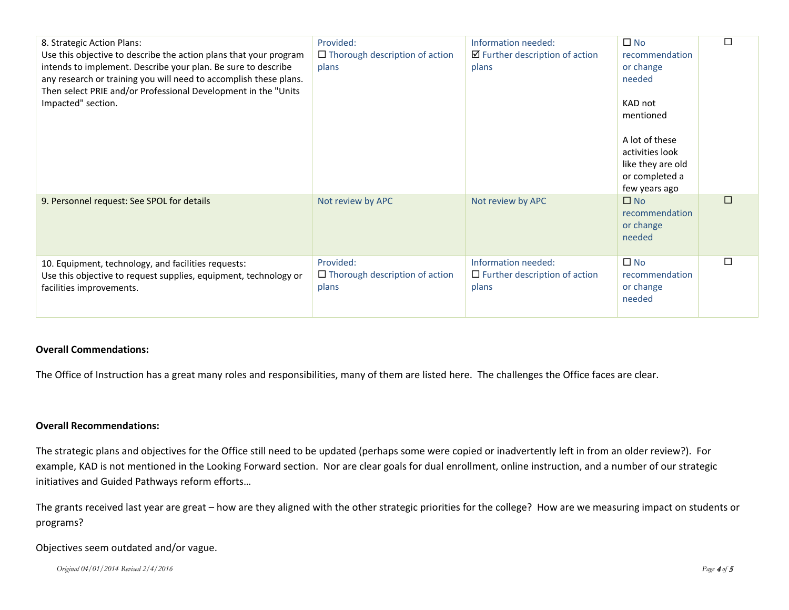| 8. Strategic Action Plans:<br>Use this objective to describe the action plans that your program<br>intends to implement. Describe your plan. Be sure to describe<br>any research or training you will need to accomplish these plans.<br>Then select PRIE and/or Professional Development in the "Units<br>Impacted" section. | Provided:<br>$\Box$ Thorough description of action<br>plans | Information needed:<br>$\boxtimes$ Further description of action<br>plans | $\Box$ No<br>recommendation<br>or change<br>needed<br>KAD not<br>mentioned<br>A lot of these<br>activities look<br>like they are old<br>or completed a<br>few years ago | $\Box$ |
|-------------------------------------------------------------------------------------------------------------------------------------------------------------------------------------------------------------------------------------------------------------------------------------------------------------------------------|-------------------------------------------------------------|---------------------------------------------------------------------------|-------------------------------------------------------------------------------------------------------------------------------------------------------------------------|--------|
| 9. Personnel request: See SPOL for details                                                                                                                                                                                                                                                                                    | Not review by APC                                           | Not review by APC                                                         | $\square$ No<br>recommendation<br>or change<br>needed                                                                                                                   | $\Box$ |
| 10. Equipment, technology, and facilities requests:<br>Use this objective to request supplies, equipment, technology or<br>facilities improvements.                                                                                                                                                                           | Provided:<br>$\Box$ Thorough description of action<br>plans | Information needed:<br>$\Box$ Further description of action<br>plans      | $\Box$ No<br>recommendation<br>or change<br>needed                                                                                                                      | $\Box$ |

#### **Overall Commendations:**

The Office of Instruction has a great many roles and responsibilities, many of them are listed here. The challenges the Office faces are clear.

#### **Overall Recommendations:**

The strategic plans and objectives for the Office still need to be updated (perhaps some were copied or inadvertently left in from an older review?). For example, KAD is not mentioned in the Looking Forward section. Nor are clear goals for dual enrollment, online instruction, and a number of our strategic initiatives and Guided Pathways reform efforts…

The grants received last year are great – how are they aligned with the other strategic priorities for the college? How are we measuring impact on students or programs?

#### Objectives seem outdated and/or vague.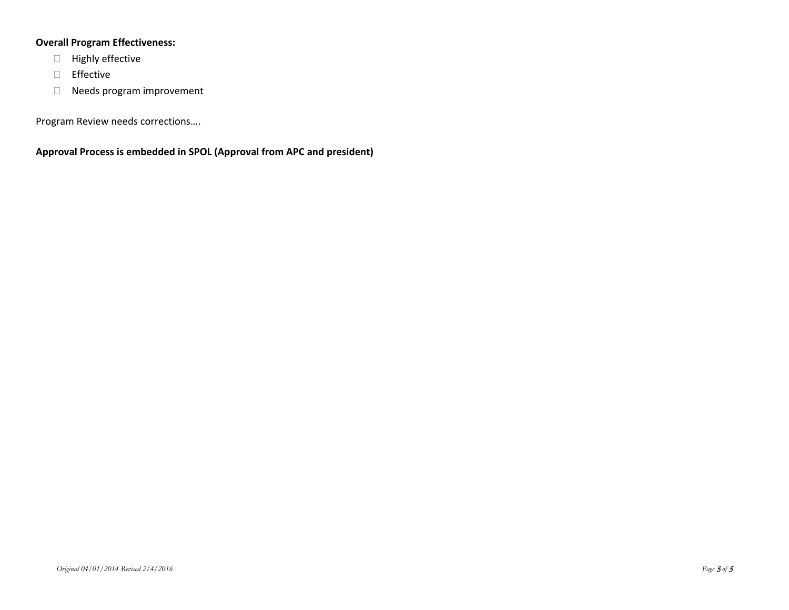## **Overall Program Effectiveness:**

- **Highly effective**
- $\Box$  Effective
- Needs program improvement

Program Review needs corrections….

**Approval Process is embedded in SPOL (Approval from APC and president)**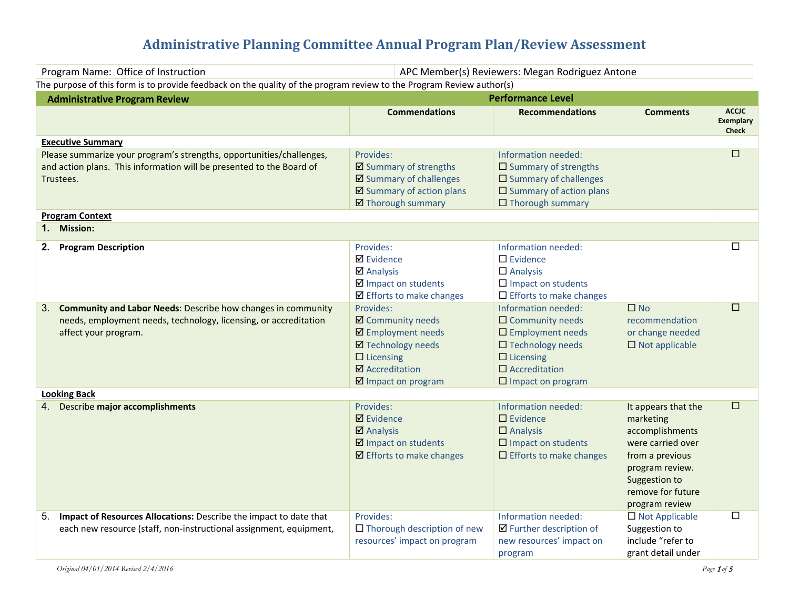# **Administrative Planning Committee Annual Program Plan/Review Assessment**

| Program Name: Office of Instruction                                                                                                                         |                                                                                                                                                                  | APC Member(s) Reviewers: Megan Rodriguez Antone                                                                                                                                      |                                                                                                                                                                        |                                                  |
|-------------------------------------------------------------------------------------------------------------------------------------------------------------|------------------------------------------------------------------------------------------------------------------------------------------------------------------|--------------------------------------------------------------------------------------------------------------------------------------------------------------------------------------|------------------------------------------------------------------------------------------------------------------------------------------------------------------------|--------------------------------------------------|
| The purpose of this form is to provide feedback on the quality of the program review to the Program Review author(s)                                        |                                                                                                                                                                  |                                                                                                                                                                                      |                                                                                                                                                                        |                                                  |
| <b>Administrative Program Review</b>                                                                                                                        |                                                                                                                                                                  | <b>Performance Level</b>                                                                                                                                                             |                                                                                                                                                                        |                                                  |
|                                                                                                                                                             | <b>Commendations</b>                                                                                                                                             | <b>Recommendations</b>                                                                                                                                                               | <b>Comments</b>                                                                                                                                                        | <b>ACCJC</b><br><b>Exemplary</b><br><b>Check</b> |
| <b>Executive Summary</b>                                                                                                                                    |                                                                                                                                                                  |                                                                                                                                                                                      |                                                                                                                                                                        |                                                  |
| Please summarize your program's strengths, opportunities/challenges,<br>and action plans. This information will be presented to the Board of<br>Trustees.   | Provides:<br>☑ Summary of strengths<br>☑ Summary of challenges<br>$\boxtimes$ Summary of action plans<br>☑ Thorough summary                                      | Information needed:<br>$\square$ Summary of strengths<br>$\square$ Summary of challenges<br>$\square$ Summary of action plans<br>$\Box$ Thorough summary                             |                                                                                                                                                                        | $\Box$                                           |
| <b>Program Context</b>                                                                                                                                      |                                                                                                                                                                  |                                                                                                                                                                                      |                                                                                                                                                                        |                                                  |
| 1. Mission:                                                                                                                                                 |                                                                                                                                                                  |                                                                                                                                                                                      |                                                                                                                                                                        |                                                  |
| 2. Program Description                                                                                                                                      | Provides:<br><b>Ø</b> Evidence<br><b>Ø</b> Analysis<br>☑ Impact on students<br>☑ Efforts to make changes                                                         | Information needed:<br>$\square$ Evidence<br>$\Box$ Analysis<br>$\Box$ Impact on students<br>$\Box$ Efforts to make changes                                                          |                                                                                                                                                                        | $\Box$                                           |
| 3. Community and Labor Needs: Describe how changes in community<br>needs, employment needs, technology, licensing, or accreditation<br>affect your program. | Provides:<br>☑ Community needs<br>☑ Employment needs<br><b>Ø</b> Technology needs<br>$\Box$ Licensing<br><b>Ø</b> Accreditation<br>$\boxtimes$ Impact on program | Information needed:<br>$\Box$ Community needs<br>$\square$ Employment needs<br>$\square$ Technology needs<br>$\Box$ Licensing<br>$\Box$ Accreditation<br>$\square$ Impact on program | $\Box$ No<br>recommendation<br>or change needed<br>$\square$ Not applicable                                                                                            | $\Box$                                           |
| <b>Looking Back</b>                                                                                                                                         |                                                                                                                                                                  |                                                                                                                                                                                      |                                                                                                                                                                        |                                                  |
| 4. Describe major accomplishments                                                                                                                           | Provides:<br>$\boxtimes$ Evidence<br>$\boxtimes$ Analysis<br>☑ Impact on students<br>$\boxtimes$ Efforts to make changes                                         | Information needed:<br>$\Box$ Evidence<br>$\Box$ Analysis<br>$\square$ Impact on students<br>$\Box$ Efforts to make changes                                                          | It appears that the<br>marketing<br>accomplishments<br>were carried over<br>from a previous<br>program review.<br>Suggestion to<br>remove for future<br>program review | $\Box$                                           |
| 5. Impact of Resources Allocations: Describe the impact to date that<br>each new resource (staff, non-instructional assignment, equipment,                  | Provides:<br>$\Box$ Thorough description of new<br>resources' impact on program                                                                                  | Information needed:<br>$\boxtimes$ Further description of<br>new resources' impact on<br>program                                                                                     | $\Box$ Not Applicable<br>Suggestion to<br>include "refer to<br>grant detail under                                                                                      | $\Box$                                           |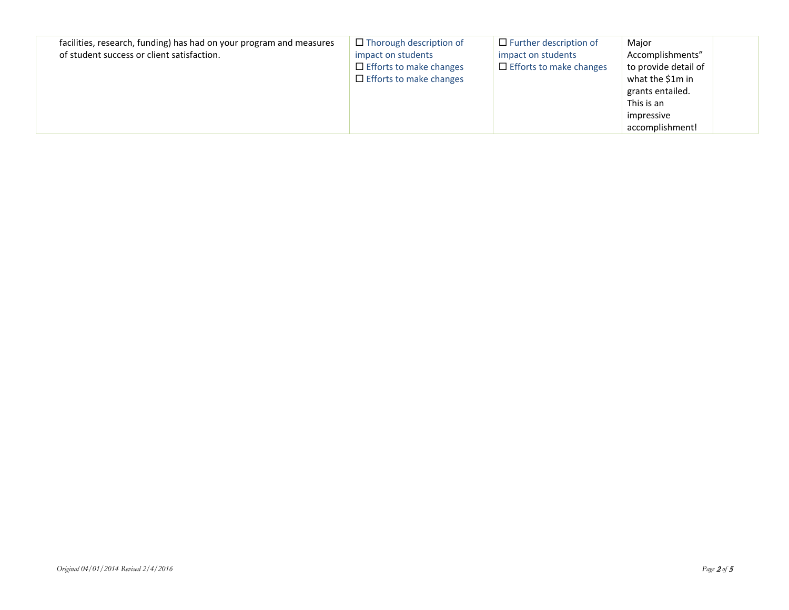| facilities, research, funding) has had on your program and measures<br>of student success or client satisfaction. | $\Box$ Thorough description of<br>impact on students<br>$\Box$ Efforts to make changes<br>$\Box$ Efforts to make changes | $\Box$ Further description of<br>impact on students<br>$\Box$ Efforts to make changes | Major<br>Accomplishments"<br>to provide detail of<br>what the \$1m in<br>grants entailed.<br>This is an<br>impressive<br>accomplishment! |  |
|-------------------------------------------------------------------------------------------------------------------|--------------------------------------------------------------------------------------------------------------------------|---------------------------------------------------------------------------------------|------------------------------------------------------------------------------------------------------------------------------------------|--|
|-------------------------------------------------------------------------------------------------------------------|--------------------------------------------------------------------------------------------------------------------------|---------------------------------------------------------------------------------------|------------------------------------------------------------------------------------------------------------------------------------------|--|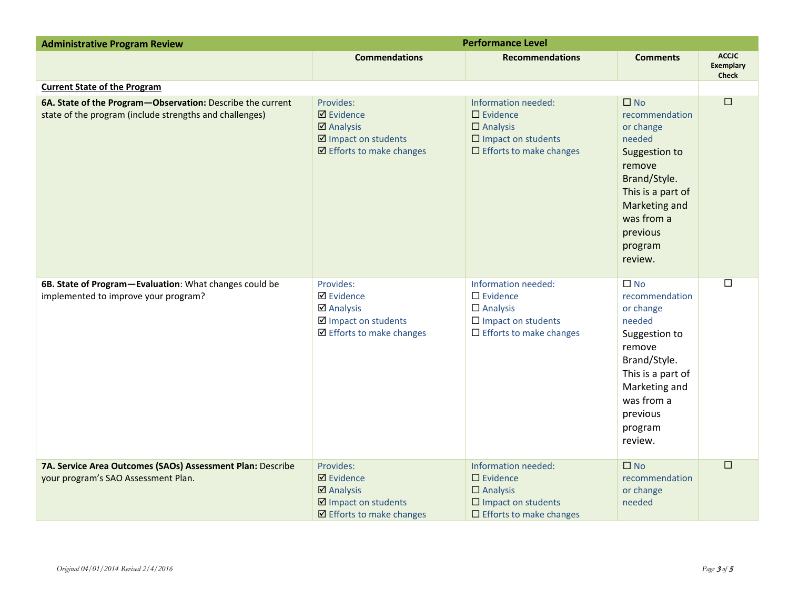| <b>Administrative Program Review</b>                                                                                  | <b>Performance Level</b>                                                                                                 |                                                                                                                                   |                                                                                                                                                                                        |                                                  |
|-----------------------------------------------------------------------------------------------------------------------|--------------------------------------------------------------------------------------------------------------------------|-----------------------------------------------------------------------------------------------------------------------------------|----------------------------------------------------------------------------------------------------------------------------------------------------------------------------------------|--------------------------------------------------|
|                                                                                                                       | <b>Commendations</b>                                                                                                     | <b>Recommendations</b>                                                                                                            | <b>Comments</b>                                                                                                                                                                        | <b>ACCIC</b><br><b>Exemplary</b><br><b>Check</b> |
| <b>Current State of the Program</b>                                                                                   |                                                                                                                          |                                                                                                                                   |                                                                                                                                                                                        |                                                  |
| 6A. State of the Program-Observation: Describe the current<br>state of the program (include strengths and challenges) | Provides:<br>$\boxtimes$ Evidence<br>$\boxtimes$ Analysis<br>☑ Impact on students<br>$\boxtimes$ Efforts to make changes | Information needed:<br>$\square$ Evidence<br>$\square$ Analysis<br>$\square$ Impact on students<br>$\Box$ Efforts to make changes | $\square$ No<br>recommendation<br>or change<br>needed<br>Suggestion to<br>remove<br>Brand/Style.<br>This is a part of<br>Marketing and<br>was from a<br>previous<br>program<br>review. | $\Box$                                           |
| 6B. State of Program-Evaluation: What changes could be<br>implemented to improve your program?                        | Provides:<br><b>Ø</b> Evidence<br><b>Ø</b> Analysis<br>☑ Impact on students<br>☑ Efforts to make changes                 | Information needed:<br>$\square$ Evidence<br>$\Box$ Analysis<br>$\Box$ Impact on students<br>$\Box$ Efforts to make changes       | $\square$ No<br>recommendation<br>or change<br>needed<br>Suggestion to<br>remove<br>Brand/Style.<br>This is a part of<br>Marketing and<br>was from a<br>previous<br>program<br>review. | $\Box$                                           |
| 7A. Service Area Outcomes (SAOs) Assessment Plan: Describe<br>your program's SAO Assessment Plan.                     | Provides:<br>$\boxtimes$ Evidence<br>$\boxtimes$ Analysis<br>☑ Impact on students<br>☑ Efforts to make changes           | Information needed:<br>$\square$ Evidence<br>$\Box$ Analysis<br>$\square$ Impact on students<br>$\Box$ Efforts to make changes    | $\square$ No<br>recommendation<br>or change<br>needed                                                                                                                                  | $\Box$                                           |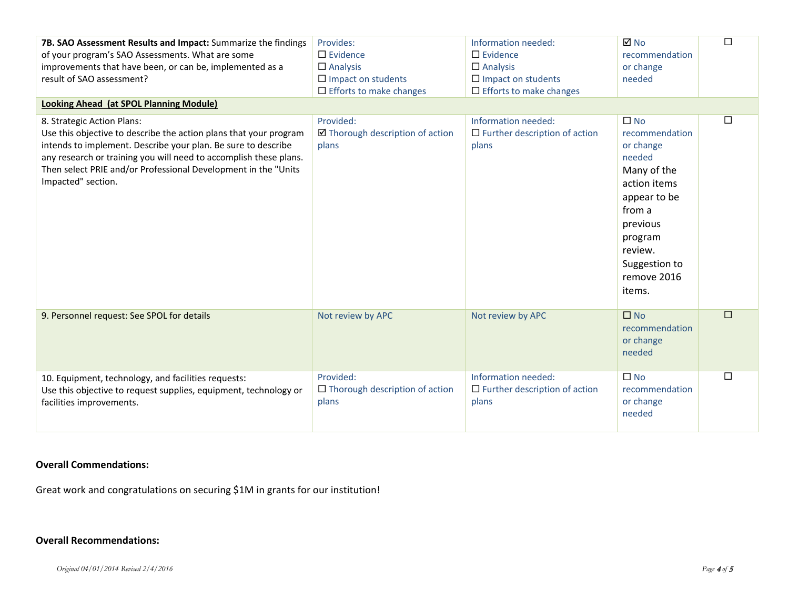| 7B. SAO Assessment Results and Impact: Summarize the findings<br>of your program's SAO Assessments. What are some<br>improvements that have been, or can be, implemented as a<br>result of SAO assessment?<br><b>Looking Ahead (at SPOL Planning Module)</b>                                                                  | Provides:<br>$\Box$ Evidence<br>$\Box$ Analysis<br>$\Box$ Impact on students<br>$\Box$ Efforts to make changes | Information needed:<br>$\square$ Evidence<br>$\Box$ Analysis<br>$\Box$ Impact on students<br>$\Box$ Efforts to make changes | <b>⊠</b> No<br>recommendation<br>or change<br>needed                                                                                                                                       | $\Box$ |
|-------------------------------------------------------------------------------------------------------------------------------------------------------------------------------------------------------------------------------------------------------------------------------------------------------------------------------|----------------------------------------------------------------------------------------------------------------|-----------------------------------------------------------------------------------------------------------------------------|--------------------------------------------------------------------------------------------------------------------------------------------------------------------------------------------|--------|
| 8. Strategic Action Plans:<br>Use this objective to describe the action plans that your program<br>intends to implement. Describe your plan. Be sure to describe<br>any research or training you will need to accomplish these plans.<br>Then select PRIE and/or Professional Development in the "Units<br>Impacted" section. | Provided:<br>☑ Thorough description of action<br>plans                                                         | Information needed:<br>$\Box$ Further description of action<br>plans                                                        | $\square$ No<br>recommendation<br>or change<br>needed<br>Many of the<br>action items<br>appear to be<br>from a<br>previous<br>program<br>review.<br>Suggestion to<br>remove 2016<br>items. | $\Box$ |
| 9. Personnel request: See SPOL for details                                                                                                                                                                                                                                                                                    | Not review by APC                                                                                              | Not review by APC                                                                                                           | $\Box$ No<br>recommendation<br>or change<br>needed                                                                                                                                         | $\Box$ |
| 10. Equipment, technology, and facilities requests:<br>Use this objective to request supplies, equipment, technology or<br>facilities improvements.                                                                                                                                                                           | Provided:<br>$\Box$ Thorough description of action<br>plans                                                    | Information needed:<br>$\Box$ Further description of action<br>plans                                                        | $\square$ No<br>recommendation<br>or change<br>needed                                                                                                                                      | $\Box$ |

## **Overall Commendations:**

Great work and congratulations on securing \$1M in grants for our institution!

## **Overall Recommendations:**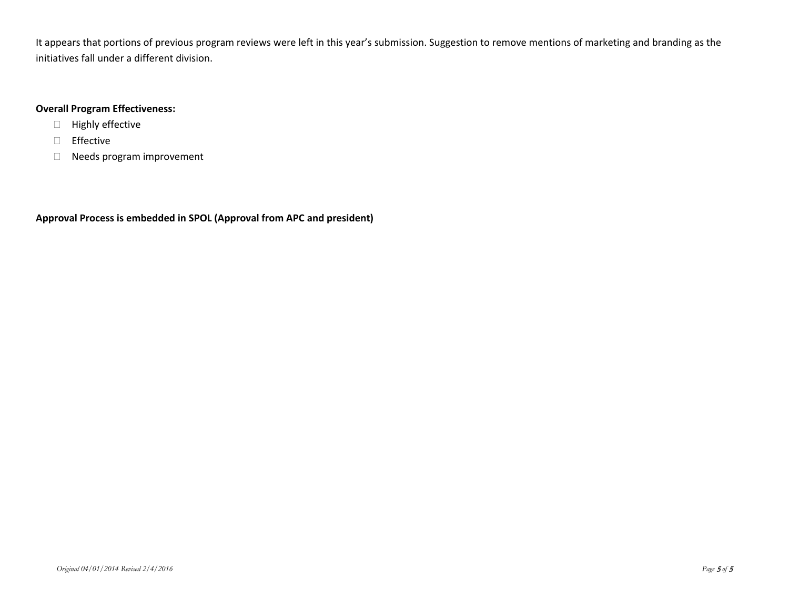It appears that portions of previous program reviews were left in this year's submission. Suggestion to remove mentions of marketing and branding as the initiatives fall under a different division.

### **Overall Program Effectiveness:**

- Highly effective
- Effective
- Needs program improvement

**Approval Process is embedded in SPOL (Approval from APC and president)**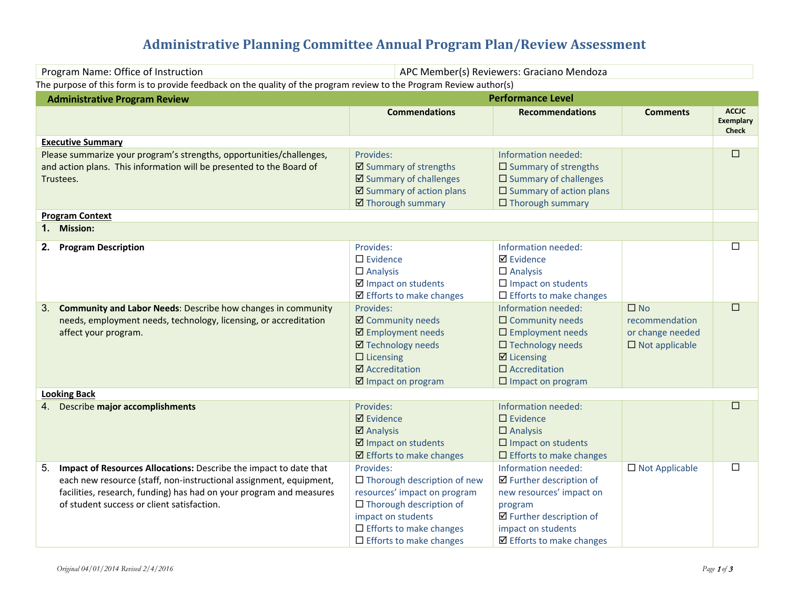# **Administrative Planning Committee Annual Program Plan/Review Assessment**

| Program Name: Office of Instruction                                                                                                                                                                                                                                | APC Member(s) Reviewers: Graciano Mendoza                                                                                                                                                                   |                                                                                                                                                                                        |                                                                             |                                                  |
|--------------------------------------------------------------------------------------------------------------------------------------------------------------------------------------------------------------------------------------------------------------------|-------------------------------------------------------------------------------------------------------------------------------------------------------------------------------------------------------------|----------------------------------------------------------------------------------------------------------------------------------------------------------------------------------------|-----------------------------------------------------------------------------|--------------------------------------------------|
| The purpose of this form is to provide feedback on the quality of the program review to the Program Review author(s)                                                                                                                                               |                                                                                                                                                                                                             |                                                                                                                                                                                        |                                                                             |                                                  |
| <b>Administrative Program Review</b>                                                                                                                                                                                                                               |                                                                                                                                                                                                             | <b>Performance Level</b>                                                                                                                                                               |                                                                             |                                                  |
|                                                                                                                                                                                                                                                                    | <b>Commendations</b>                                                                                                                                                                                        | <b>Recommendations</b>                                                                                                                                                                 | <b>Comments</b>                                                             | <b>ACCJC</b><br><b>Exemplary</b><br><b>Check</b> |
| <b>Executive Summary</b>                                                                                                                                                                                                                                           |                                                                                                                                                                                                             |                                                                                                                                                                                        |                                                                             |                                                  |
| Please summarize your program's strengths, opportunities/challenges,<br>and action plans. This information will be presented to the Board of<br>Trustees.                                                                                                          | Provides:<br>☑ Summary of strengths<br>☑ Summary of challenges<br>☑ Summary of action plans<br>☑ Thorough summary                                                                                           | Information needed:<br>$\square$ Summary of strengths<br>$\square$ Summary of challenges<br>$\square$ Summary of action plans<br>$\Box$ Thorough summary                               |                                                                             | $\Box$                                           |
| <b>Program Context</b>                                                                                                                                                                                                                                             |                                                                                                                                                                                                             |                                                                                                                                                                                        |                                                                             |                                                  |
| 1. Mission:                                                                                                                                                                                                                                                        |                                                                                                                                                                                                             |                                                                                                                                                                                        |                                                                             |                                                  |
| <b>Program Description</b><br>2.                                                                                                                                                                                                                                   | Provides:<br>$\square$ Evidence<br>$\Box$ Analysis<br>☑ Impact on students<br>☑ Efforts to make changes                                                                                                     | Information needed:<br><b>Ø</b> Evidence<br>$\Box$ Analysis<br>$\square$ Impact on students<br>$\Box$ Efforts to make changes                                                          |                                                                             | $\Box$                                           |
| <b>Community and Labor Needs: Describe how changes in community</b><br>3.<br>needs, employment needs, technology, licensing, or accreditation<br>affect your program.                                                                                              | Provides:<br><b>Ø</b> Community needs<br>☑ Employment needs<br><b>Ø</b> Technology needs<br>$\Box$ Licensing<br>☑ Accreditation<br>$\boxtimes$ Impact on program                                            | Information needed:<br>$\Box$ Community needs<br>$\square$ Employment needs<br>$\square$ Technology needs<br>$\boxtimes$ Licensing<br>$\Box$ Accreditation<br>$\Box$ Impact on program | $\square$ No<br>recommendation<br>or change needed<br>$\Box$ Not applicable | $\Box$                                           |
| <b>Looking Back</b>                                                                                                                                                                                                                                                |                                                                                                                                                                                                             |                                                                                                                                                                                        |                                                                             |                                                  |
| 4. Describe major accomplishments                                                                                                                                                                                                                                  | Provides:<br><b>Ø</b> Evidence<br><b>Ø</b> Analysis<br>$\boxtimes$ Impact on students<br>$\boxtimes$ Efforts to make changes                                                                                | Information needed:<br>$\square$ Evidence<br>$\Box$ Analysis<br>$\square$ Impact on students<br>$\Box$ Efforts to make changes                                                         |                                                                             | $\Box$                                           |
| Impact of Resources Allocations: Describe the impact to date that<br>5.<br>each new resource (staff, non-instructional assignment, equipment,<br>facilities, research, funding) has had on your program and measures<br>of student success or client satisfaction. | Provides:<br>$\Box$ Thorough description of new<br>resources' impact on program<br>$\Box$ Thorough description of<br>impact on students<br>$\Box$ Efforts to make changes<br>$\Box$ Efforts to make changes | Information needed:<br>☑ Further description of<br>new resources' impact on<br>program<br>☑ Further description of<br>impact on students<br>$\boxtimes$ Efforts to make changes        | $\Box$ Not Applicable                                                       | $\Box$                                           |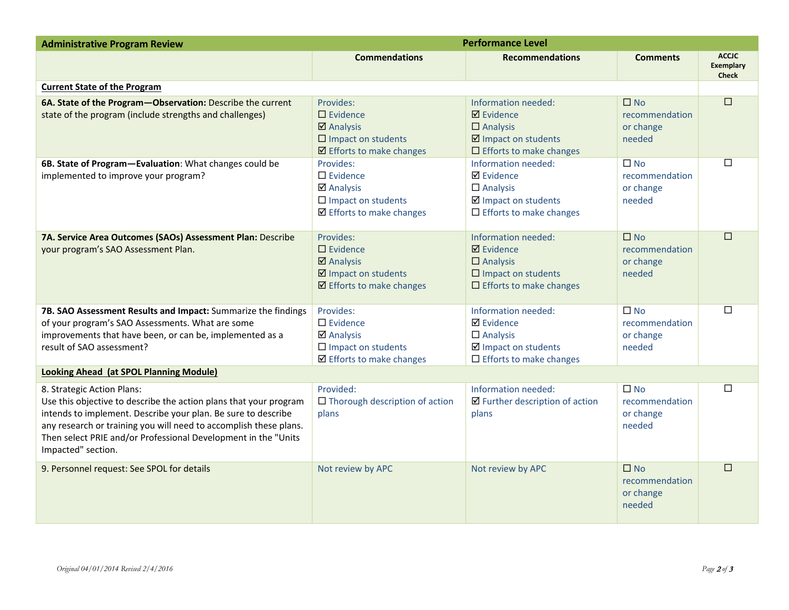| <b>Administrative Program Review</b>                                                                                                                                                                                                                                                                                          | <b>Performance Level</b>                                                                                                                |                                                                                                                                  |                                                       |                                                  |
|-------------------------------------------------------------------------------------------------------------------------------------------------------------------------------------------------------------------------------------------------------------------------------------------------------------------------------|-----------------------------------------------------------------------------------------------------------------------------------------|----------------------------------------------------------------------------------------------------------------------------------|-------------------------------------------------------|--------------------------------------------------|
|                                                                                                                                                                                                                                                                                                                               | <b>Commendations</b>                                                                                                                    | <b>Recommendations</b>                                                                                                           | <b>Comments</b>                                       | <b>ACCIC</b><br><b>Exemplary</b><br><b>Check</b> |
| <b>Current State of the Program</b>                                                                                                                                                                                                                                                                                           |                                                                                                                                         |                                                                                                                                  |                                                       |                                                  |
| 6A. State of the Program-Observation: Describe the current<br>state of the program (include strengths and challenges)                                                                                                                                                                                                         | Provides:<br>$\Box$ Evidence<br>$\overline{\mathbf{z}}$ Analysis<br>$\square$ Impact on students<br>$\boxtimes$ Efforts to make changes | Information needed:<br>$\boxtimes$ Evidence<br>$\Box$ Analysis<br>☑ Impact on students<br>$\Box$ Efforts to make changes         | $\square$ No<br>recommendation<br>or change<br>needed | $\Box$                                           |
| 6B. State of Program-Evaluation: What changes could be<br>implemented to improve your program?                                                                                                                                                                                                                                | Provides:<br>$\Box$ Evidence<br>$\boxtimes$ Analysis<br>$\square$ Impact on students<br>$\boxtimes$ Efforts to make changes             | Information needed:<br><b>Ø</b> Evidence<br>$\Box$ Analysis<br>☑ Impact on students<br>$\Box$ Efforts to make changes            | $\square$ No<br>recommendation<br>or change<br>needed | $\Box$                                           |
| 7A. Service Area Outcomes (SAOs) Assessment Plan: Describe<br>your program's SAO Assessment Plan.                                                                                                                                                                                                                             | Provides:<br>$\Box$ Evidence<br>$\boxtimes$ Analysis<br>☑ Impact on students<br>$\boxtimes$ Efforts to make changes                     | Information needed:<br>$\boxtimes$ Evidence<br>$\Box$ Analysis<br>$\square$ Impact on students<br>$\Box$ Efforts to make changes | $\square$ No<br>recommendation<br>or change<br>needed | П                                                |
| 7B. SAO Assessment Results and Impact: Summarize the findings<br>of your program's SAO Assessments. What are some<br>improvements that have been, or can be, implemented as a<br>result of SAO assessment?                                                                                                                    | Provides:<br>$\square$ Evidence<br>$\boxtimes$ Analysis<br>$\square$ Impact on students<br>☑ Efforts to make changes                    | Information needed:<br><b>Ø</b> Evidence<br>$\Box$ Analysis<br>☑ Impact on students<br>$\Box$ Efforts to make changes            | $\square$ No<br>recommendation<br>or change<br>needed | □                                                |
| Looking Ahead (at SPOL Planning Module)                                                                                                                                                                                                                                                                                       |                                                                                                                                         |                                                                                                                                  |                                                       |                                                  |
| 8. Strategic Action Plans:<br>Use this objective to describe the action plans that your program<br>intends to implement. Describe your plan. Be sure to describe<br>any research or training you will need to accomplish these plans.<br>Then select PRIE and/or Professional Development in the "Units<br>Impacted" section. | Provided:<br>$\Box$ Thorough description of action<br>plans                                                                             | Information needed:<br>$\boxtimes$ Further description of action<br>plans                                                        | $\square$ No<br>recommendation<br>or change<br>needed | П                                                |
| 9. Personnel request: See SPOL for details                                                                                                                                                                                                                                                                                    | Not review by APC                                                                                                                       | Not review by APC                                                                                                                | $\square$ No<br>recommendation<br>or change<br>needed | П                                                |